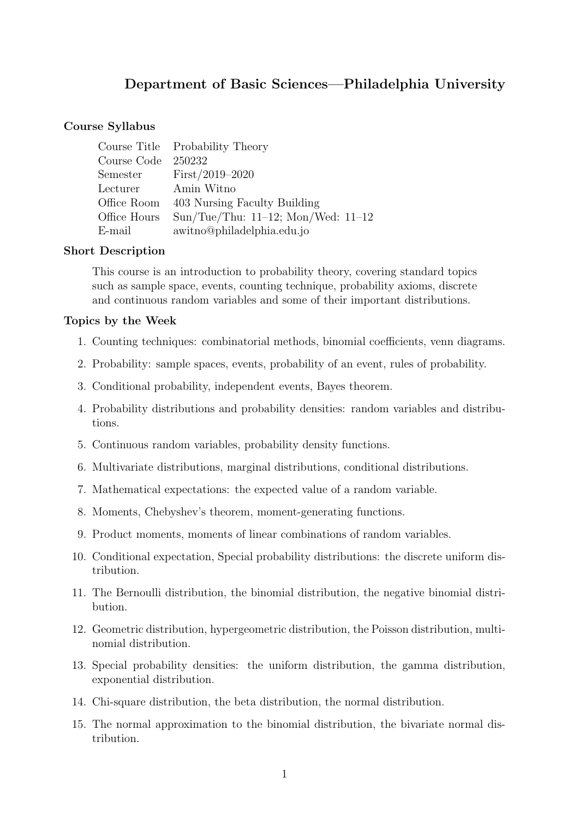# **Department of Basic Sciences—Philadelphia University**

#### **Course Syllabus**

|                     | Course Title Probability Theory          |
|---------------------|------------------------------------------|
| Course Code 250232  |                                          |
|                     | Semester $First/2019-2020$               |
| Lecturer Amin Witno |                                          |
|                     | Office Room 403 Nursing Faculty Building |
| Office Hours        | Sun/Tue/Thu: $11-12$ ; Mon/Wed: $11-12$  |
| E-mail              | awitno@philadelphia.edu.jo               |

#### **Short Description**

This course is an introduction to probability theory, covering standard topics such as sample space, events, counting technique, probability axioms, discrete and continuous random variables and some of their important distributions.

#### **Topics by the Week**

- 1. Counting techniques: combinatorial methods, binomial coefficients, venn diagrams.
- 2. Probability: sample spaces, events, probability of an event, rules of probability.
- 3. Conditional probability, independent events, Bayes theorem.
- 4. Probability distributions and probability densities: random variables and distributions.
- 5. Continuous random variables, probability density functions.
- 6. Multivariate distributions, marginal distributions, conditional distributions.
- 7. Mathematical expectations: the expected value of a random variable.
- 8. Moments, Chebyshev's theorem, moment-generating functions.
- 9. Product moments, moments of linear combinations of random variables.
- 10. Conditional expectation, Special probability distributions: the discrete uniform distribution.
- 11. The Bernoulli distribution, the binomial distribution, the negative binomial distribution.
- 12. Geometric distribution, hypergeometric distribution, the Poisson distribution, multinomial distribution.
- 13. Special probability densities: the uniform distribution, the gamma distribution, exponential distribution.
- 14. Chi-square distribution, the beta distribution, the normal distribution.
- 15. The normal approximation to the binomial distribution, the bivariate normal distribution.